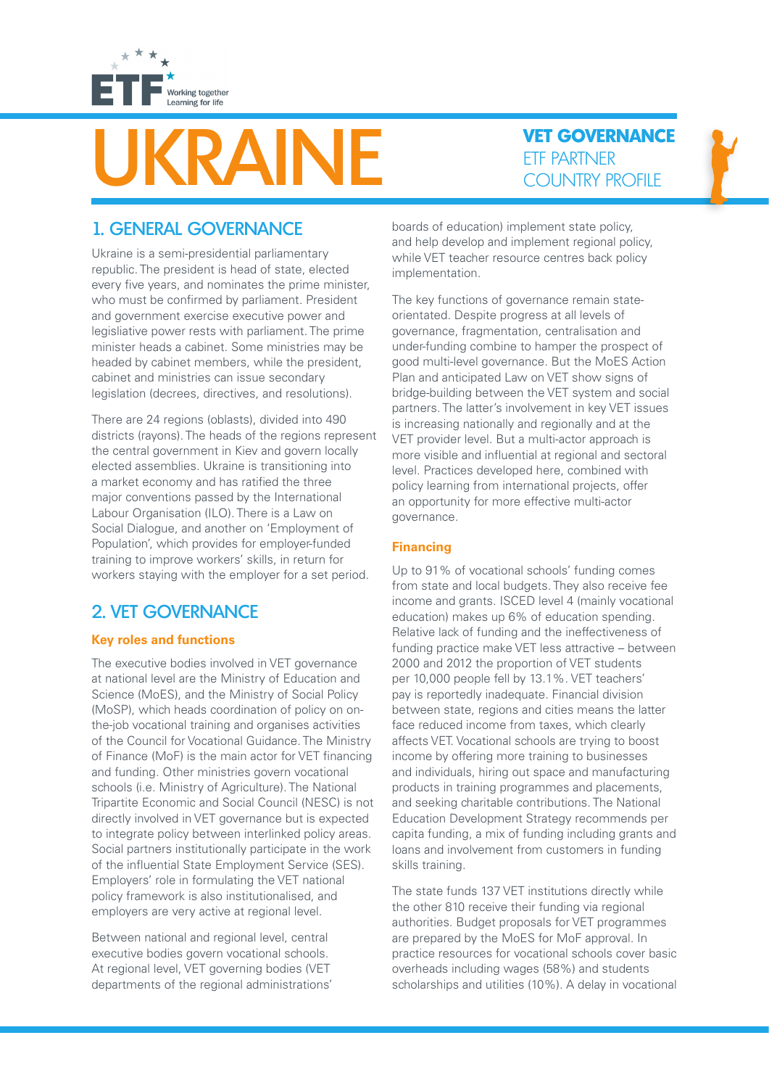

# ETF PARTNER

**VET GOVERNANCE**

## 1. GENERAL GOVERNANCE

Ukraine is a semi-presidential parliamentary republic. The president is head of state, elected every five years, and nominates the prime minister, who must be confirmed by parliament. President and government exercise executive power and legisliative power rests with parliament. The prime minister heads a cabinet. Some ministries may be headed by cabinet members, while the president, cabinet and ministries can issue secondary legislation (decrees, directives, and resolutions).

There are 24 regions (oblasts), divided into 490 districts (rayons). The heads of the regions represent the central government in Kiev and govern locally elected assemblies. Ukraine is transitioning into a market economy and has ratified the three major conventions passed by the International Labour Organisation (ILO). There is a Law on Social Dialogue, and another on 'Employment of Population', which provides for employer-funded training to improve workers' skills, in return for workers staying with the employer for a set period.

# 2. VET GOVERNANCE

## **Key roles and functions**

The executive bodies involved in VET governance at national level are the Ministry of Education and Science (MoES), and the Ministry of Social Policy (MoSP), which heads coordination of policy on onthe-job vocational training and organises activities of the Council for Vocational Guidance. The Ministry of Finance (MoF) is the main actor for VET financing and funding. Other ministries govern vocational schools (i.e. Ministry of Agriculture). The National Tripartite Economic and Social Council (NESC) is not directly involved in VET governance but is expected to integrate policy between interlinked policy areas. Social partners institutionally participate in the work of the influential State Employment Service (SES). Employers' role in formulating the VET national policy framework is also institutionalised, and employers are very active at regional level.

Between national and regional level, central executive bodies govern vocational schools. At regional level, VET governing bodies (VET departments of the regional administrations' boards of education) implement state policy, and help develop and implement regional policy, while VET teacher resource centres back policy implementation.

The key functions of governance remain stateorientated. Despite progress at all levels of governance, fragmentation, centralisation and under-funding combine to hamper the prospect of good multi-level governance. But the MoES Action Plan and anticipated Law on VET show signs of bridge-building between the VET system and social partners. The latter's involvement in key VET issues is increasing nationally and regionally and at the VET provider level. But a multi-actor approach is more visible and influential at regional and sectoral level. Practices developed here, combined with policy learning from international projects, offer an opportunity for more effective multi-actor governance.

#### **Financing**

Up to 91% of vocational schools' funding comes from state and local budgets. They also receive fee income and grants. ISCED level 4 (mainly vocational education) makes up 6% of education spending. Relative lack of funding and the ineffectiveness of funding practice make VET less attractive – between 2000 and 2012 the proportion of VET students per 10,000 people fell by 13.1%. VET teachers' pay is reportedly inadequate. Financial division between state, regions and cities means the latter face reduced income from taxes, which clearly affects VET. Vocational schools are trying to boost income by offering more training to businesses and individuals, hiring out space and manufacturing products in training programmes and placements, and seeking charitable contributions. The National Education Development Strategy recommends per capita funding, a mix of funding including grants and loans and involvement from customers in funding skills training.

The state funds 137 VET institutions directly while the other 810 receive their funding via regional authorities. Budget proposals for VET programmes are prepared by the MoES for MoF approval. In practice resources for vocational schools cover basic overheads including wages (58%) and students scholarships and utilities (10%). A delay in vocational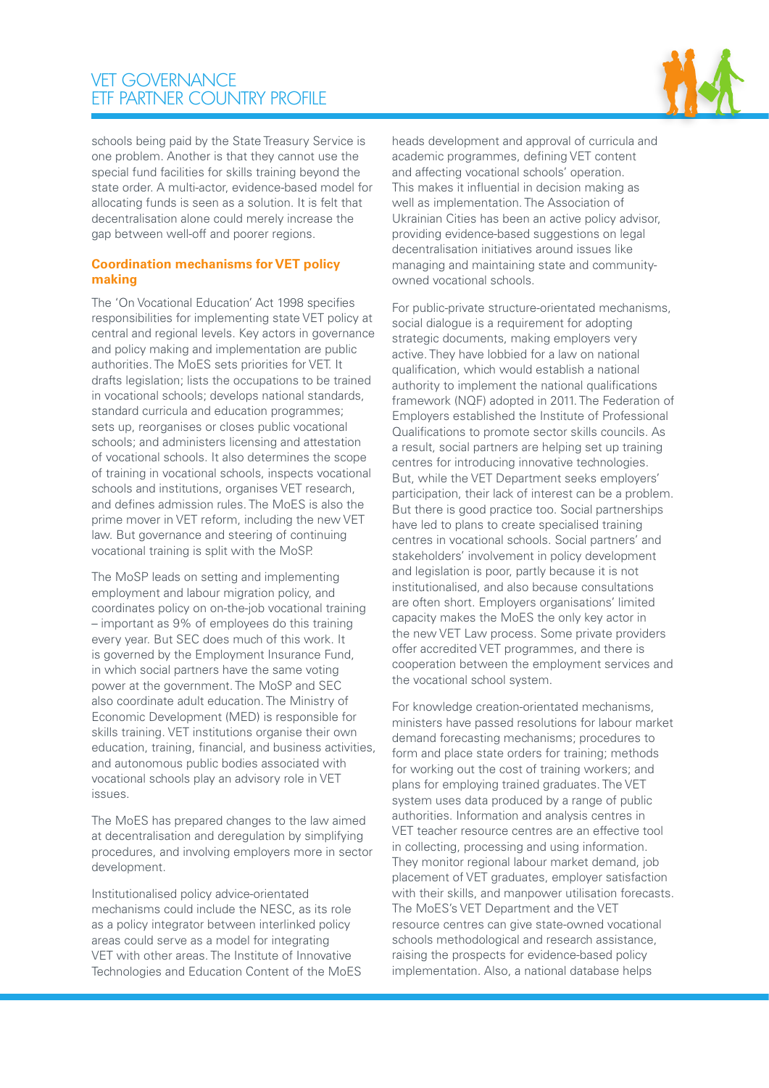## VET GOVERNANCE ETF PARTNER COUNTRY PROFILE



schools being paid by the State Treasury Service is one problem. Another is that they cannot use the special fund facilities for skills training beyond the state order. A multi-actor, evidence-based model for allocating funds is seen as a solution. It is felt that decentralisation alone could merely increase the gap between well-off and poorer regions.

#### **Coordination mechanisms for VET policy making**

The 'On Vocational Education' Act 1998 specifies responsibilities for implementing state VET policy at central and regional levels. Key actors in governance and policy making and implementation are public authorities. The MoES sets priorities for VET. It drafts legislation; lists the occupations to be trained in vocational schools; develops national standards, standard curricula and education programmes; sets up, reorganises or closes public vocational schools; and administers licensing and attestation of vocational schools. It also determines the scope of training in vocational schools, inspects vocational schools and institutions, organises VET research, and defines admission rules. The MoES is also the prime mover in VET reform, including the new VET law. But governance and steering of continuing vocational training is split with the MoSP.

The MoSP leads on setting and implementing employment and labour migration policy, and coordinates policy on on-the-job vocational training – important as 9% of employees do this training every year. But SEC does much of this work. It is governed by the Employment Insurance Fund, in which social partners have the same voting power at the government. The MoSP and SEC also coordinate adult education. The Ministry of Economic Development (MED) is responsible for skills training. VET institutions organise their own education, training, financial, and business activities, and autonomous public bodies associated with vocational schools play an advisory role in VET issues.

The MoES has prepared changes to the law aimed at decentralisation and deregulation by simplifying procedures, and involving employers more in sector development.

Institutionalised policy advice-orientated mechanisms could include the NESC, as its role as a policy integrator between interlinked policy areas could serve as a model for integrating VET with other areas. The Institute of Innovative Technologies and Education Content of the MoES

heads development and approval of curricula and academic programmes, defining VET content and affecting vocational schools' operation. This makes it influential in decision making as well as implementation. The Association of Ukrainian Cities has been an active policy advisor, providing evidence-based suggestions on legal decentralisation initiatives around issues like managing and maintaining state and communityowned vocational schools.

For public-private structure-orientated mechanisms, social dialogue is a requirement for adopting strategic documents, making employers very active. They have lobbied for a law on national qualification, which would establish a national authority to implement the national qualifications framework (NQF) adopted in 2011. The Federation of Employers established the Institute of Professional Qualifications to promote sector skills councils. As a result, social partners are helping set up training centres for introducing innovative technologies. But, while the VET Department seeks employers' participation, their lack of interest can be a problem. But there is good practice too. Social partnerships have led to plans to create specialised training centres in vocational schools. Social partners' and stakeholders' involvement in policy development and legislation is poor, partly because it is not institutionalised, and also because consultations are often short. Employers organisations' limited capacity makes the MoES the only key actor in the new VET Law process. Some private providers offer accredited VET programmes, and there is cooperation between the employment services and the vocational school system.

For knowledge creation-orientated mechanisms, ministers have passed resolutions for labour market demand forecasting mechanisms; procedures to form and place state orders for training; methods for working out the cost of training workers; and plans for employing trained graduates. The VET system uses data produced by a range of public authorities. Information and analysis centres in VET teacher resource centres are an effective tool in collecting, processing and using information. They monitor regional labour market demand, job placement of VET graduates, employer satisfaction with their skills, and manpower utilisation forecasts. The MoES's VET Department and the VET resource centres can give state-owned vocational schools methodological and research assistance, raising the prospects for evidence-based policy implementation. Also, a national database helps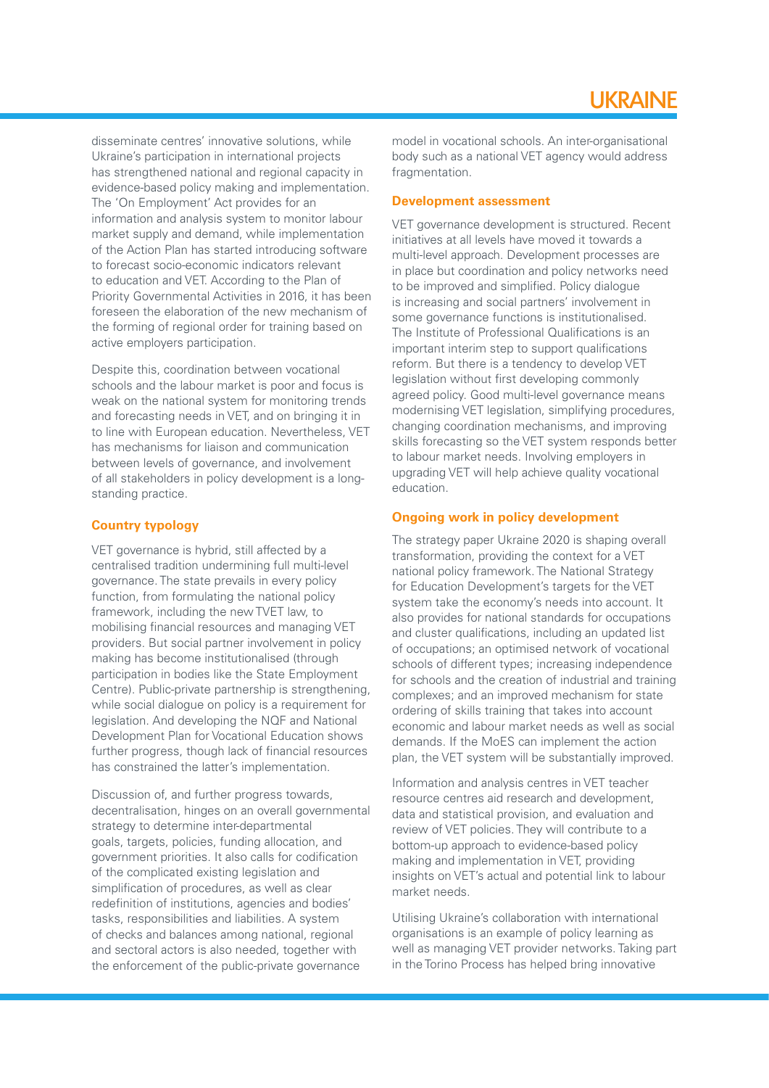disseminate centres' innovative solutions, while Ukraine's participation in international projects has strengthened national and regional capacity in evidence-based policy making and implementation. The 'On Employment' Act provides for an information and analysis system to monitor labour market supply and demand, while implementation of the Action Plan has started introducing software to forecast socio-economic indicators relevant to education and VET. According to the Plan of Priority Governmental Activities in 2016, it has been foreseen the elaboration of the new mechanism of the forming of regional order for training based on active employers participation.

Despite this, coordination between vocational schools and the labour market is poor and focus is weak on the national system for monitoring trends and forecasting needs in VET, and on bringing it in to line with European education. Nevertheless, VET has mechanisms for liaison and communication between levels of governance, and involvement of all stakeholders in policy development is a longstanding practice.

### **Country typology**

VET governance is hybrid, still affected by a centralised tradition undermining full multi-level governance. The state prevails in every policy function, from formulating the national policy framework, including the new TVET law, to mobilising financial resources and managing VET providers. But social partner involvement in policy making has become institutionalised (through participation in bodies like the State Employment Centre). Public-private partnership is strengthening, while social dialogue on policy is a requirement for legislation. And developing the NQF and National Development Plan for Vocational Education shows further progress, though lack of financial resources has constrained the latter's implementation.

Discussion of, and further progress towards, decentralisation, hinges on an overall governmental strategy to determine inter-departmental goals, targets, policies, funding allocation, and government priorities. It also calls for codification of the complicated existing legislation and simplification of procedures, as well as clear redefinition of institutions, agencies and bodies' tasks, responsibilities and liabilities. A system of checks and balances among national, regional and sectoral actors is also needed, together with the enforcement of the public-private governance

model in vocational schools. An inter-organisational body such as a national VET agency would address fragmentation.

#### **Development assessment**

VET governance development is structured. Recent initiatives at all levels have moved it towards a multi-level approach. Development processes are in place but coordination and policy networks need to be improved and simplified. Policy dialogue is increasing and social partners' involvement in some governance functions is institutionalised. The Institute of Professional Qualifications is an important interim step to support qualifications reform. But there is a tendency to develop VET legislation without first developing commonly agreed policy. Good multi-level governance means modernising VET legislation, simplifying procedures, changing coordination mechanisms, and improving skills forecasting so the VET system responds better to labour market needs. Involving employers in upgrading VET will help achieve quality vocational education.

#### **Ongoing work in policy development**

The strategy paper Ukraine 2020 is shaping overall transformation, providing the context for a VET national policy framework. The National Strategy for Education Development's targets for the VET system take the economy's needs into account. It also provides for national standards for occupations and cluster qualifications, including an updated list of occupations; an optimised network of vocational schools of different types; increasing independence for schools and the creation of industrial and training complexes; and an improved mechanism for state ordering of skills training that takes into account economic and labour market needs as well as social demands. If the MoES can implement the action plan, the VET system will be substantially improved.

Information and analysis centres in VET teacher resource centres aid research and development, data and statistical provision, and evaluation and review of VET policies. They will contribute to a bottom-up approach to evidence-based policy making and implementation in VET, providing insights on VET's actual and potential link to labour market needs.

Utilising Ukraine's collaboration with international organisations is an example of policy learning as well as managing VET provider networks. Taking part in the Torino Process has helped bring innovative